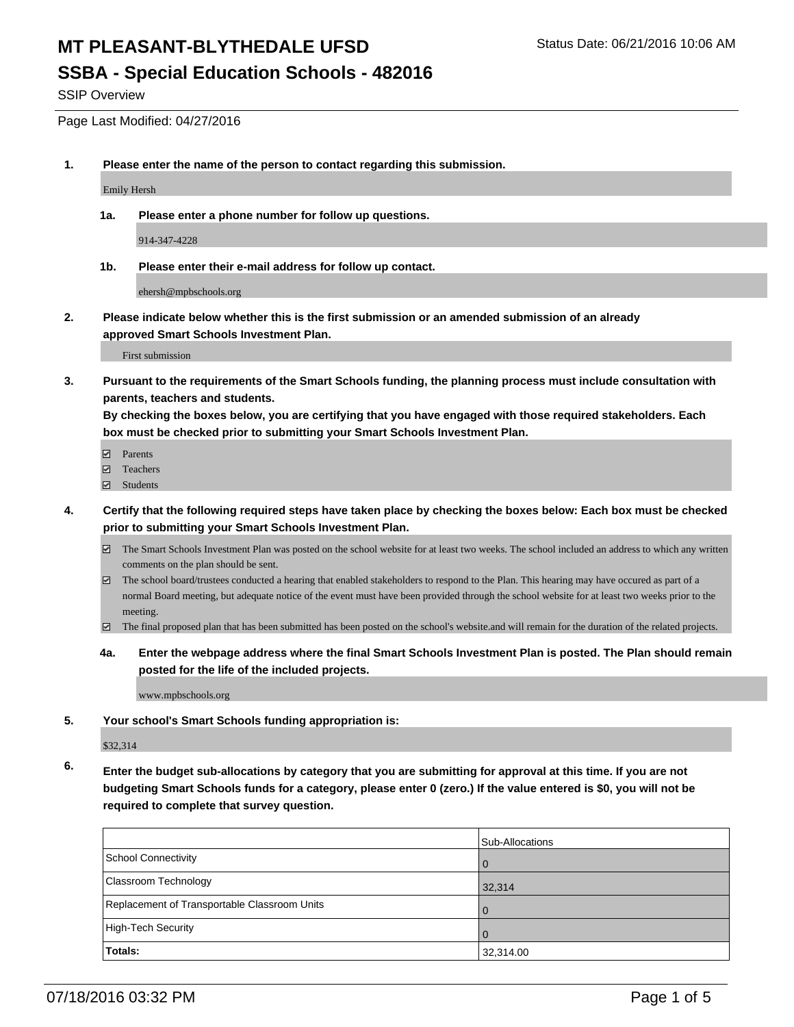## **SSBA - Special Education Schools - 482016**

SSIP Overview

Page Last Modified: 04/27/2016

**1. Please enter the name of the person to contact regarding this submission.**

Emily Hersh

**1a. Please enter a phone number for follow up questions.**

914-347-4228

**1b. Please enter their e-mail address for follow up contact.**

ehersh@mpbschools.org

**2. Please indicate below whether this is the first submission or an amended submission of an already approved Smart Schools Investment Plan.**

First submission

**3. Pursuant to the requirements of the Smart Schools funding, the planning process must include consultation with parents, teachers and students.**

**By checking the boxes below, you are certifying that you have engaged with those required stakeholders. Each box must be checked prior to submitting your Smart Schools Investment Plan.**

- **Parents**
- Teachers
- Students
- **4. Certify that the following required steps have taken place by checking the boxes below: Each box must be checked prior to submitting your Smart Schools Investment Plan.**
	- The Smart Schools Investment Plan was posted on the school website for at least two weeks. The school included an address to which any written comments on the plan should be sent.
	- $\boxtimes$  The school board/trustees conducted a hearing that enabled stakeholders to respond to the Plan. This hearing may have occured as part of a normal Board meeting, but adequate notice of the event must have been provided through the school website for at least two weeks prior to the meeting.
	- The final proposed plan that has been submitted has been posted on the school's website.and will remain for the duration of the related projects.
	- **4a. Enter the webpage address where the final Smart Schools Investment Plan is posted. The Plan should remain posted for the life of the included projects.**

www.mpbschools.org

**5. Your school's Smart Schools funding appropriation is:**

\$32,314

**6. Enter the budget sub-allocations by category that you are submitting for approval at this time. If you are not budgeting Smart Schools funds for a category, please enter 0 (zero.) If the value entered is \$0, you will not be required to complete that survey question.**

|                                              | Sub-Allocations |
|----------------------------------------------|-----------------|
| School Connectivity                          |                 |
| Classroom Technology                         | 32,314          |
| Replacement of Transportable Classroom Units |                 |
| High-Tech Security                           |                 |
| Totals:                                      | 32,314.00       |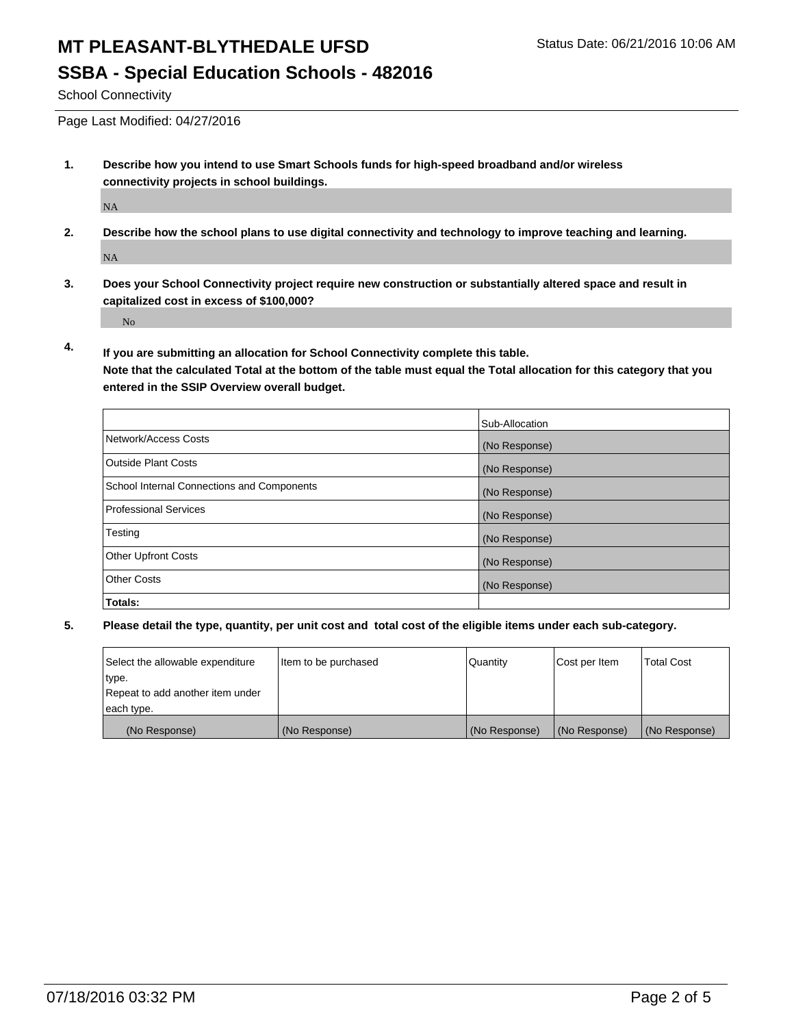# **SSBA - Special Education Schools - 482016**

School Connectivity

Page Last Modified: 04/27/2016

**1. Describe how you intend to use Smart Schools funds for high-speed broadband and/or wireless connectivity projects in school buildings.**

NA

**2. Describe how the school plans to use digital connectivity and technology to improve teaching and learning.**

NA

**3. Does your School Connectivity project require new construction or substantially altered space and result in capitalized cost in excess of \$100,000?**

No

**4. If you are submitting an allocation for School Connectivity complete this table.**

**Note that the calculated Total at the bottom of the table must equal the Total allocation for this category that you entered in the SSIP Overview overall budget.** 

|                                            | Sub-Allocation |
|--------------------------------------------|----------------|
| Network/Access Costs                       | (No Response)  |
| <b>Outside Plant Costs</b>                 | (No Response)  |
| School Internal Connections and Components | (No Response)  |
| <b>Professional Services</b>               | (No Response)  |
| Testing                                    | (No Response)  |
| <b>Other Upfront Costs</b>                 | (No Response)  |
| <b>Other Costs</b>                         | (No Response)  |
| Totals:                                    |                |

| Select the allowable expenditure | Item to be purchased | Quantity      | Cost per Item | <b>Total Cost</b> |
|----------------------------------|----------------------|---------------|---------------|-------------------|
| type.                            |                      |               |               |                   |
| Repeat to add another item under |                      |               |               |                   |
| each type.                       |                      |               |               |                   |
| (No Response)                    | (No Response)        | (No Response) | (No Response) | (No Response)     |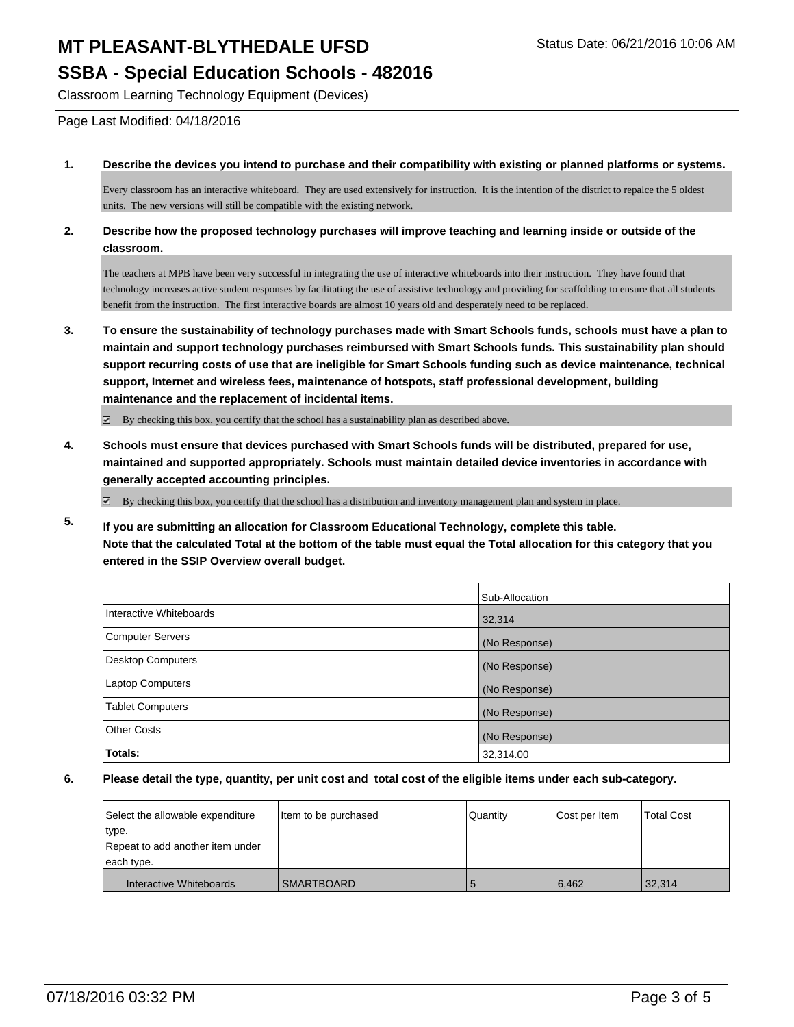## **MT PLEASANT-BLYTHEDALE UFSD** Status Date: 06/21/2016 10:06 AM **SSBA - Special Education Schools - 482016**

Classroom Learning Technology Equipment (Devices)

Page Last Modified: 04/18/2016

#### **1. Describe the devices you intend to purchase and their compatibility with existing or planned platforms or systems.**

Every classroom has an interactive whiteboard. They are used extensively for instruction. It is the intention of the district to repalce the 5 oldest units. The new versions will still be compatible with the existing network.

#### **2. Describe how the proposed technology purchases will improve teaching and learning inside or outside of the classroom.**

The teachers at MPB have been very successful in integrating the use of interactive whiteboards into their instruction. They have found that technology increases active student responses by facilitating the use of assistive technology and providing for scaffolding to ensure that all students benefit from the instruction. The first interactive boards are almost 10 years old and desperately need to be replaced.

**3. To ensure the sustainability of technology purchases made with Smart Schools funds, schools must have a plan to maintain and support technology purchases reimbursed with Smart Schools funds. This sustainability plan should support recurring costs of use that are ineligible for Smart Schools funding such as device maintenance, technical support, Internet and wireless fees, maintenance of hotspots, staff professional development, building maintenance and the replacement of incidental items.**

 $\boxtimes$  By checking this box, you certify that the school has a sustainability plan as described above.

**4. Schools must ensure that devices purchased with Smart Schools funds will be distributed, prepared for use, maintained and supported appropriately. Schools must maintain detailed device inventories in accordance with generally accepted accounting principles.**

By checking this box, you certify that the school has a distribution and inventory management plan and system in place.

**5. If you are submitting an allocation for Classroom Educational Technology, complete this table. Note that the calculated Total at the bottom of the table must equal the Total allocation for this category that you entered in the SSIP Overview overall budget.**

|                          | Sub-Allocation |
|--------------------------|----------------|
| Interactive Whiteboards  | 32,314         |
| <b>Computer Servers</b>  | (No Response)  |
| <b>Desktop Computers</b> | (No Response)  |
| <b>Laptop Computers</b>  | (No Response)  |
| <b>Tablet Computers</b>  | (No Response)  |
| <b>Other Costs</b>       | (No Response)  |
| Totals:                  | 32,314.00      |

| Select the allowable expenditure | litem to be purchased | Quantity | Cost per Item | <b>Total Cost</b> |
|----------------------------------|-----------------------|----------|---------------|-------------------|
| type.                            |                       |          |               |                   |
| Repeat to add another item under |                       |          |               |                   |
| each type.                       |                       |          |               |                   |
| Interactive Whiteboards          | <b>SMARTBOARD</b>     |          | 6,462         | 32,314            |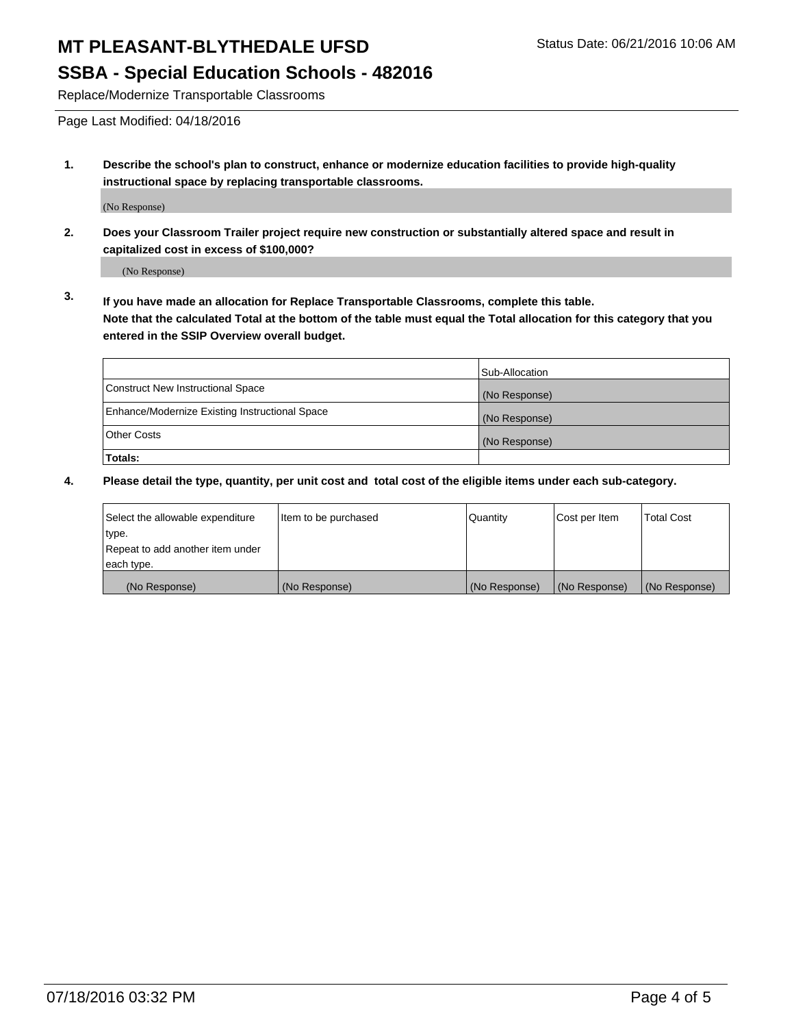# **MT PLEASANT-BLYTHEDALE UFSD** Status Date: 06/21/2016 10:06 AM

### **SSBA - Special Education Schools - 482016**

Replace/Modernize Transportable Classrooms

Page Last Modified: 04/18/2016

**1. Describe the school's plan to construct, enhance or modernize education facilities to provide high-quality instructional space by replacing transportable classrooms.**

(No Response)

**2. Does your Classroom Trailer project require new construction or substantially altered space and result in capitalized cost in excess of \$100,000?**

(No Response)

**3. If you have made an allocation for Replace Transportable Classrooms, complete this table. Note that the calculated Total at the bottom of the table must equal the Total allocation for this category that you entered in the SSIP Overview overall budget.**

|                                                | Sub-Allocation |
|------------------------------------------------|----------------|
| Construct New Instructional Space              | (No Response)  |
| Enhance/Modernize Existing Instructional Space | (No Response)  |
| Other Costs                                    | (No Response)  |
| Totals:                                        |                |

| Select the allowable expenditure | Item to be purchased | Quantity      | Cost per Item | <b>Total Cost</b> |
|----------------------------------|----------------------|---------------|---------------|-------------------|
| type.                            |                      |               |               |                   |
| Repeat to add another item under |                      |               |               |                   |
| each type.                       |                      |               |               |                   |
| (No Response)                    | (No Response)        | (No Response) | (No Response) | (No Response)     |